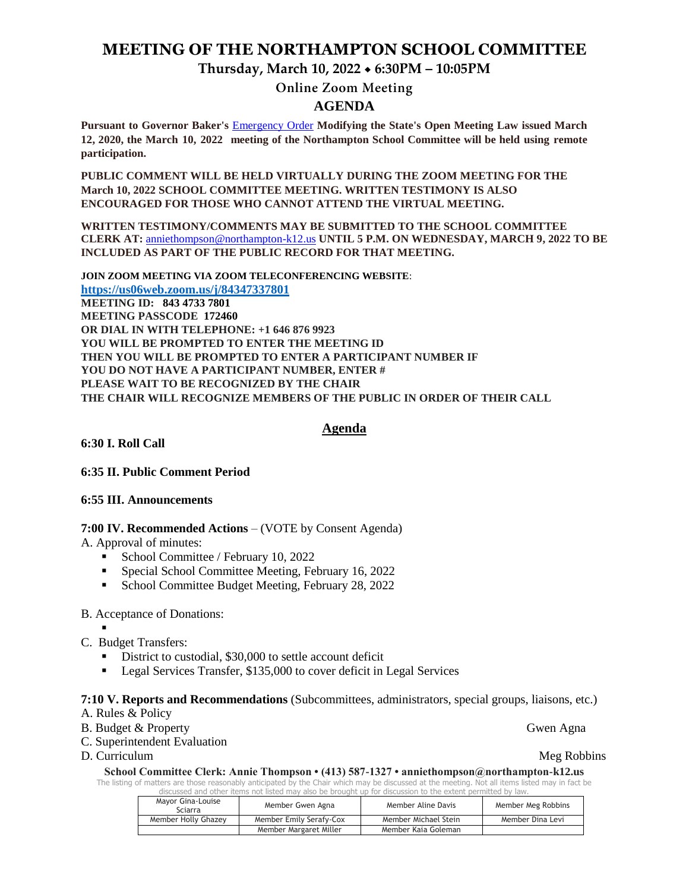# **MEETING OF THE NORTHAMPTON SCHOOL COMMITTEE**

**Thursday, March 10, 2022 6:30PM – 10:05PM**

**Online Zoom Meeting** 

# **AGENDA**

**Pursuant to Governor Baker's** [Emergency Order](about:blank) **Modifying the State's Open Meeting Law issued March 12, 2020, the March 10, 2022 meeting of the Northampton School Committee will be held using remote participation.**

**PUBLIC COMMENT WILL BE HELD VIRTUALLY DURING THE ZOOM MEETING FOR THE March 10, 2022 SCHOOL COMMITTEE MEETING. WRITTEN TESTIMONY IS ALSO ENCOURAGED FOR THOSE WHO CANNOT ATTEND THE VIRTUAL MEETING.**

**WRITTEN TESTIMONY/COMMENTS MAY BE SUBMITTED TO THE SCHOOL COMMITTEE CLERK AT:** [anniethompson@northampton-k12.us](about:blank) **UNTIL 5 P.M. ON WEDNESDAY, MARCH 9, 2022 TO BE INCLUDED AS PART OF THE PUBLIC RECORD FOR THAT MEETING.**

**JOIN ZOOM MEETING VIA ZOOM TELECONFERENCING WEBSITE**: **<https://us06web.zoom.us/j/84347337801> MEETING ID: 843 4733 7801 MEETING PASSCODE 172460 OR DIAL IN WITH TELEPHONE: +1 646 876 9923 YOU WILL BE PROMPTED TO ENTER THE MEETING ID THEN YOU WILL BE PROMPTED TO ENTER A PARTICIPANT NUMBER IF YOU DO NOT HAVE A PARTICIPANT NUMBER, ENTER # PLEASE WAIT TO BE RECOGNIZED BY THE CHAIR THE CHAIR WILL RECOGNIZE MEMBERS OF THE PUBLIC IN ORDER OF THEIR CALL**

#### **Agenda**

**6:30 I. Roll Call** 

#### **6:35 II. Public Comment Period**

#### **6:55 III. Announcements**

### **7:00 IV. Recommended Actions** – (VOTE by Consent Agenda)

A. Approval of minutes:

- School Committee / February 10, 2022
- Special School Committee Meeting, February 16, 2022
- School Committee Budget Meeting, February 28, 2022

#### B. Acceptance of Donations:

- . C. Budget Transfers:
	- District to custodial, \$30,000 to settle account deficit
	- Legal Services Transfer, \$135,000 to cover deficit in Legal Services

#### **7:10 V. Reports and Recommendations** (Subcommittees, administrators, special groups, liaisons, etc.)

- A. Rules & Policy
- B. Budget & Property Gwen Agna
- C. Superintendent Evaluation
- D. Curriculum Meg Robbins

#### **School Committee Clerk: Annie Thompson • (413) 587-1327 • anniethompson@northampton-k12.us**

The listing of matters are those reasonably anticipated by the Chair which may be discussed at the meeting. Not all items listed may in fact be discussed and other items not listed may also be brought up for discussion to the extent permitted by law.

| Mayor Gina-Louise<br>Sciarra | Member Gwen Agna        | Member Aline Davis   | Member Meg Robbins |
|------------------------------|-------------------------|----------------------|--------------------|
| Member Holly Ghazey          | Member Emily Serafy-Cox | Member Michael Stein | Member Dina Levi   |
|                              | Member Margaret Miller  | Member Kaia Goleman  |                    |